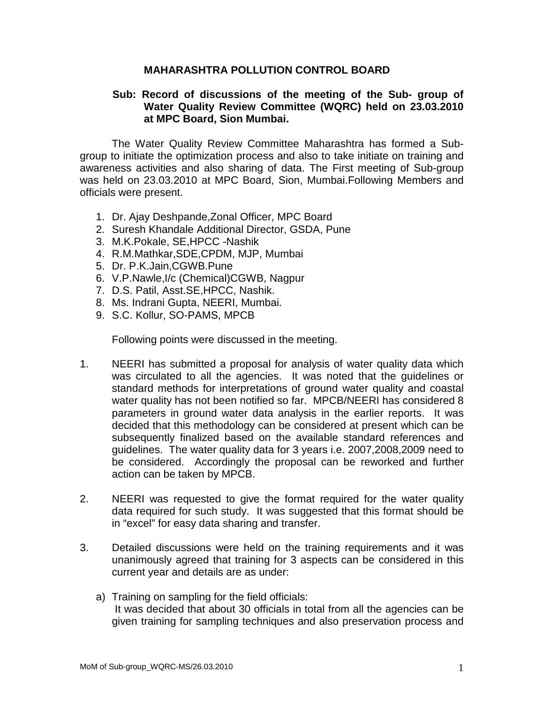## **MAHARASHTRA POLLUTION CONTROL BOARD**

## **Sub: Record of discussions of the meeting of the Sub- group of Water Quality Review Committee (WQRC) held on 23.03.2010 at MPC Board, Sion Mumbai.**

 The Water Quality Review Committee Maharashtra has formed a Subgroup to initiate the optimization process and also to take initiate on training and awareness activities and also sharing of data. The First meeting of Sub-group was held on 23.03.2010 at MPC Board, Sion, Mumbai.Following Members and officials were present.

- 1. Dr. Ajay Deshpande,Zonal Officer, MPC Board
- 2. Suresh Khandale Additional Director, GSDA, Pune
- 3. M.K.Pokale, SE,HPCC -Nashik
- 4. R.M.Mathkar,SDE,CPDM, MJP, Mumbai
- 5. Dr. P.K.Jain,CGWB.Pune
- 6. V.P.Nawle,I/c (Chemical)CGWB, Nagpur
- 7. D.S. Patil, Asst.SE,HPCC, Nashik.
- 8. Ms. Indrani Gupta, NEERI, Mumbai.
- 9. S.C. Kollur, SO-PAMS, MPCB

Following points were discussed in the meeting.

- 1. NEERI has submitted a proposal for analysis of water quality data which was circulated to all the agencies. It was noted that the guidelines or standard methods for interpretations of ground water quality and coastal water quality has not been notified so far. MPCB/NEERI has considered 8 parameters in ground water data analysis in the earlier reports. It was decided that this methodology can be considered at present which can be subsequently finalized based on the available standard references and guidelines. The water quality data for 3 years i.e. 2007,2008,2009 need to be considered. Accordingly the proposal can be reworked and further action can be taken by MPCB.
- 2. NEERI was requested to give the format required for the water quality data required for such study. It was suggested that this format should be in "excel" for easy data sharing and transfer.
- 3. Detailed discussions were held on the training requirements and it was unanimously agreed that training for 3 aspects can be considered in this current year and details are as under:
	- a) Training on sampling for the field officials: It was decided that about 30 officials in total from all the agencies can be given training for sampling techniques and also preservation process and